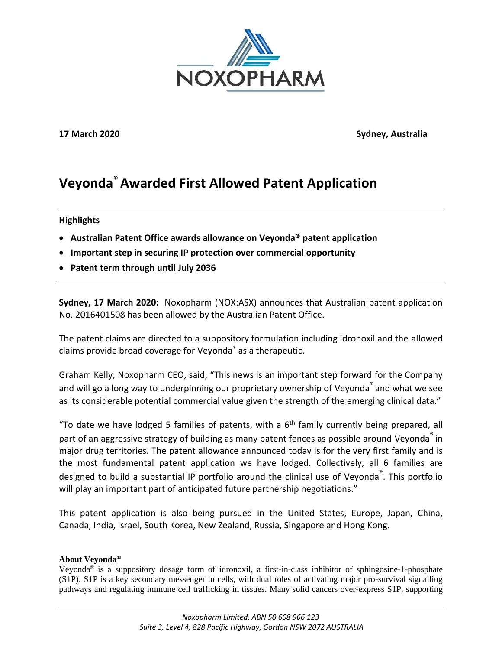

**17 March 2020 Sydney, Australia**

# **Veyonda® Awarded First Allowed Patent Application**

## **Highlights**

- **Australian Patent Office awards allowance on Veyonda® patent application**
- **Important step in securing IP protection over commercial opportunity**
- **Patent term through until July 2036**

**Sydney, 17 March 2020:** Noxopharm (NOX:ASX) announces that Australian patent application No. 2016401508 has been allowed by the Australian Patent Office.

The patent claims are directed to a suppository formulation including idronoxil and the allowed claims provide broad coverage for Veyonda® as a therapeutic.

Graham Kelly, Noxopharm CEO, said, "This news is an important step forward for the Company and will go a long way to underpinning our proprietary ownership of Veyonda<sup>®</sup> and what we see as its considerable potential commercial value given the strength of the emerging clinical data."

"To date we have lodged 5 families of patents, with a  $6<sup>th</sup>$  family currently being prepared, all part of an aggressive strategy of building as many patent fences as possible around Veyonda<sup>®</sup> in major drug territories. The patent allowance announced today is for the very first family and is the most fundamental patent application we have lodged. Collectively, all 6 families are designed to build a substantial IP portfolio around the clinical use of Veyonda®. This portfolio will play an important part of anticipated future partnership negotiations."

This patent application is also being pursued in the United States, Europe, Japan, China, Canada, India, Israel, South Korea, New Zealand, Russia, Singapore and Hong Kong.

## **About Veyonda®**

Veyonda<sup>®</sup> is a suppository dosage form of idronoxil, a first-in-class inhibitor of sphingosine-1-phosphate (S1P). S1P is a key secondary messenger in cells, with dual roles of activating major pro-survival signalling pathways and regulating immune cell trafficking in tissues. Many solid cancers over-express S1P, supporting